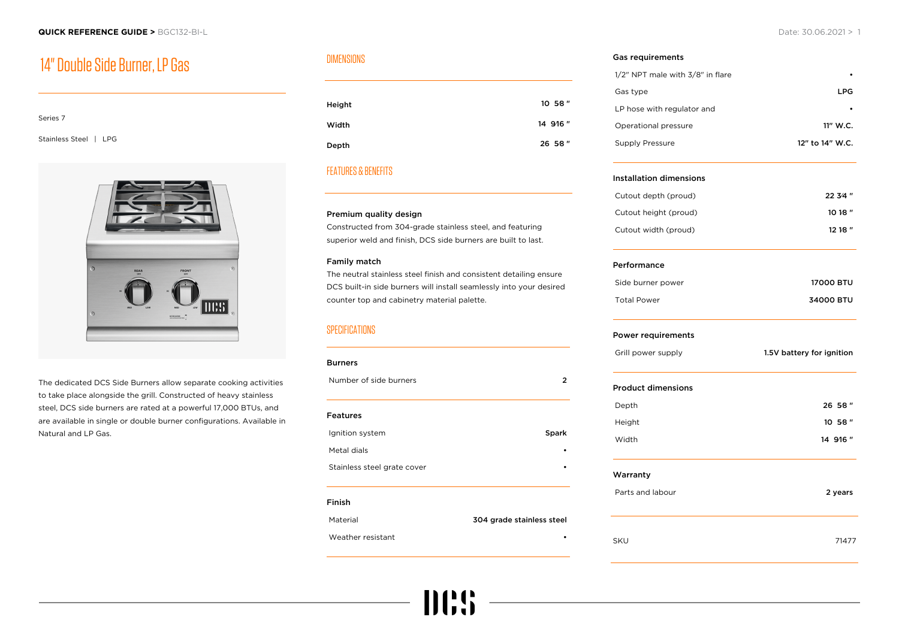# 14" Double Side Burner, LP Gas

#### Series 7

Stainless Steel | LPG



The dedicated DCS Side Burners allow separate cooking activities to take place alongside the grill. Constructed of heavy stainless steel, DCS side burners are rated at a powerful 17,000 BTUs, and are available in single or double burner configurations. Available in Natural and LP Gas.

# DIMENSIONS

| Height | 10 5⁄8 " |
|--------|----------|
| Width  | 14 9/16" |
| Depth  | 26 58"   |

# FEATURES & BENEFITS

#### Premium quality design

Constructed from 304-grade stainless steel, and featuring superior weld and finish, DCS side burners are built to last.

#### Family match

The neutral stainless steel finish and consistent detailing ensure DCS built-in side burners will install seamlessly into your desired counter top and cabinetry material palette.

### **SPECIFICATIONS**

| <b>Burners</b>              |                           |
|-----------------------------|---------------------------|
| Number of side burners      | 2                         |
|                             |                           |
| <b>Features</b>             |                           |
| Ignition system             | Spark                     |
| Metal dials                 |                           |
| Stainless steel grate cover |                           |
|                             |                           |
| Finish                      |                           |
| Material                    | 304 grade stainless steel |

mes

#### Weather resistant

#### Gas requirements

| 1/2" NPT male with 3/8" in flare |                 |
|----------------------------------|-----------------|
| Gas type                         | LPG.            |
| LP hose with regulator and       |                 |
| Operational pressure             | 11" W.C.        |
| Supply Pressure                  | 12" to 14" W.C. |

#### Installation dimensions

| Cutout depth (proud)  | 22.34'' |
|-----------------------|---------|
| Cutout height (proud) | 1018''  |
| Cutout width (proud)  | 1218''  |

#### Performance

| Side burner power  | <b>17000 BTU</b> |
|--------------------|------------------|
| <b>Total Power</b> | 34000 BTU        |

#### Power requirements

| Grill power supply | 1.5V battery for ignition |
|--------------------|---------------------------|
|                    |                           |

#### Product dimensions

| Width  | 14 9/16" |
|--------|----------|
| Height | 10 5⁄8 " |
| Depth  | 26 58"   |

#### Warranty

| Parts and labour | 2 years |
|------------------|---------|
|                  |         |

SKU 71477